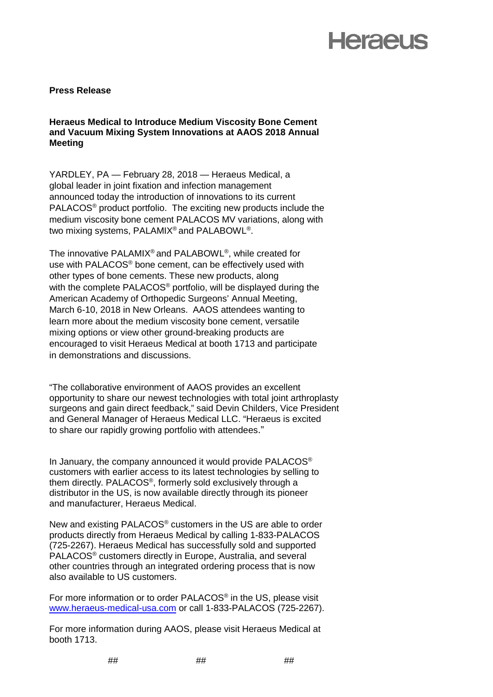# **Heraeus**

### **Press Release**

**Heraeus Medical to Introduce Medium Viscosity Bone Cement and Vacuum Mixing System Innovations at AAOS 2018 Annual Meeting** 

YARDLEY, PA — February 28, 2018 — Heraeus Medical, a global leader in joint fixation and infection management announced today the introduction of innovations to its current PALACOS® product portfolio. The exciting new products include the medium viscosity bone cement PALACOS MV variations, along with two mixing systems, PALAMIX® and PALABOWL®.

The innovative PALAMIX® and PALABOWL®, while created for use with PALACOS® bone cement, can be effectively used with other types of bone cements. These new products, along with the complete PALACOS<sup>®</sup> portfolio, will be displayed during the American Academy of Orthopedic Surgeons' Annual Meeting, March 6-10, 2018 in New Orleans. AAOS attendees wanting to learn more about the medium viscosity bone cement, versatile mixing options or view other ground-breaking products are encouraged to visit Heraeus Medical at booth 1713 and participate in demonstrations and discussions.

"The collaborative environment of AAOS provides an excellent opportunity to share our newest technologies with total joint arthroplasty surgeons and gain direct feedback," said Devin Childers, Vice President and General Manager of Heraeus Medical LLC. "Heraeus is excited to share our rapidly growing portfolio with attendees."

In January, the company announced it would provide PALACOS® customers with earlier access to its latest technologies by selling to them directly. PALACOS®, formerly sold exclusively through a distributor in the US, is now available directly through its pioneer and manufacturer, Heraeus Medical.

New and existing PALACOS® customers in the US are able to order products directly from Heraeus Medical by calling 1-833-PALACOS (725-2267). Heraeus Medical has successfully sold and supported PALACOS® customers directly in Europe, Australia, and several other countries through an integrated ordering process that is now also available to US customers.

For more information or to order PALACOS® in the US, please visit [www.heraeus-medical-usa.com](http://www.heraeus-medical-usa.com/) or call 1-833-PALACOS (725-2267).

For more information during AAOS, please visit Heraeus Medical at booth 1713.